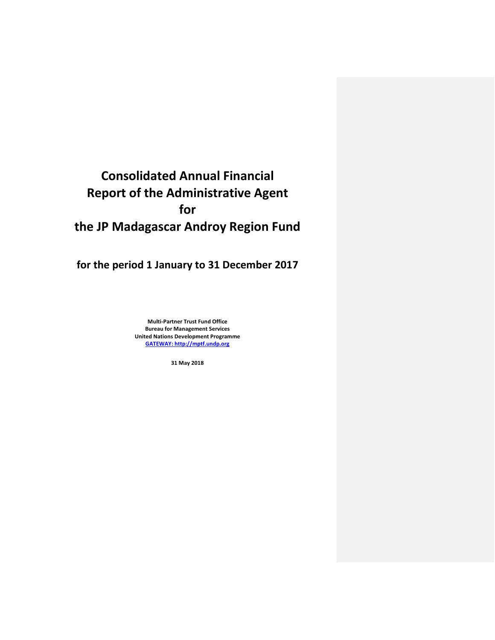# **Consolidated Annual Financial Report of the Administrative Agent for the JP Madagascar Androy Region Fund**

**for the period 1 January to 31 December 2017**

**Multi-Partner Trust Fund Office Bureau for Management Services United Nations Development Programme [GATEWAY: http://mptf.undp.org](http://mptf.undp.org/)**

**31 May 2018**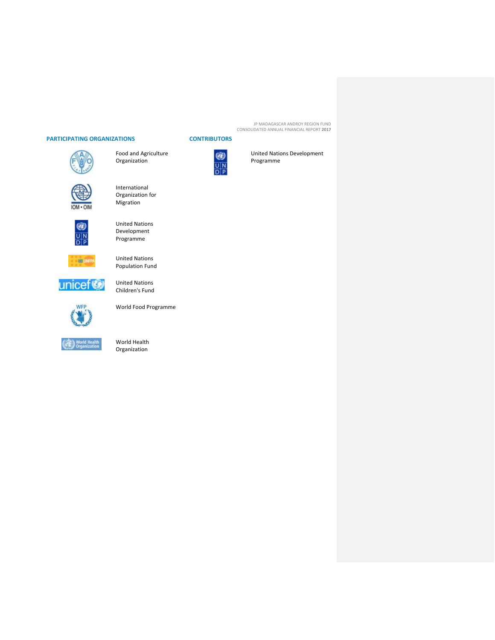# **PARTICIPATING ORGANIZATIONS CONTRIBUTORS**



Food and Agriculture Organization

International Organization for Migration

Programme

United Nations Population Fund

United Nations Children's Fund



United Nations Development



 $\frac{1}{2}$ 

unicef®



World Food Programme



# World Health Organization



United Nations Development Programme

JP MADAGASCAR ANDROY REGION FUND CONSOLIDATED ANNUAL FINANCIAL REPORT **2017**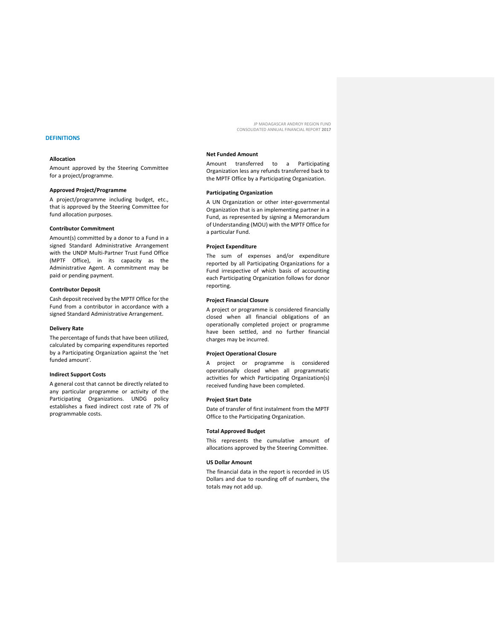# **DEFINITIONS**

#### **Allocation**

Amount approved by the Steering Committee for a project/programme.

#### **Approved Project/Programme**

A project/programme including budget, etc., that is approved by the Steering Committee for fund allocation purposes.

#### **Contributor Commitment**

Amount(s) committed by a donor to a Fund in a signed Standard Administrative Arrangement with the UNDP Multi-Partner Trust Fund Office (MPTF Office), in its capacity as the Administrative Agent. A commitment may be paid or pending payment.

#### **Contributor Deposit**

Cash deposit received by the MPTF Office for the Fund from a contributor in accordance with a signed Standard Administrative Arrangement.

#### **Delivery Rate**

The percentage of funds that have been utilized, calculated by comparing expenditures reported by a Participating Organization against the 'net funded amount'.

#### **Indirect Support Costs**

A general cost that cannot be directly related to any particular programme or activity of the Participating Organizations. UNDG policy establishes a fixed indirect cost rate of 7% of programmable costs.

JP MADAGASCAR ANDROY REGION FUND CONSOLIDATED ANNUAL FINANCIAL REPORT **2017**

# **Net Funded Amount**

Amount transferred to a Participating Organization less any refunds transferred back to the MPTF Office by a Participating Organization.

#### **Participating Organization**

A UN Organization or other inter-governmental Organization that is an implementing partner in a Fund, as represented by signing a Memorandum of Understanding (MOU) with the MPTF Office for a particular Fund.

#### **Project Expenditure**

The sum of expenses and/or expenditure reported by all Participating Organizations for a Fund irrespective of which basis of accounting each Participating Organization follows for donor reporting.

#### **Project Financial Closure**

A project or programme is considered financially closed when all financial obligations of an operationally completed project or programme have been settled, and no further financial charges may be incurred.

#### **Project Operational Closure**

A project or programme is considered operationally closed when all programmatic activities for which Participating Organization(s) received funding have been completed.

### **Project Start Date**

Date of transfer of first instalment from the MPTF Office to the Participating Organization.

#### **Total Approved Budget**

This represents the cumulative amount of allocations approved by the Steering Committee.

#### **US Dollar Amount**

The financial data in the report is recorded in US Dollars and due to rounding off of numbers, the totals may not add up.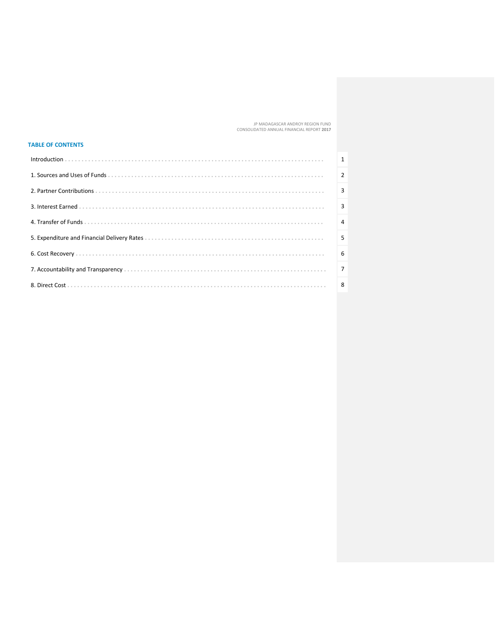# **TABLE OF CONTENTS**

| 1              |
|----------------|
| $\overline{2}$ |
| $\overline{3}$ |
| $\overline{3}$ |
| $\overline{4}$ |
| 5              |
| 6              |
| $\vert$ 7      |
| -8             |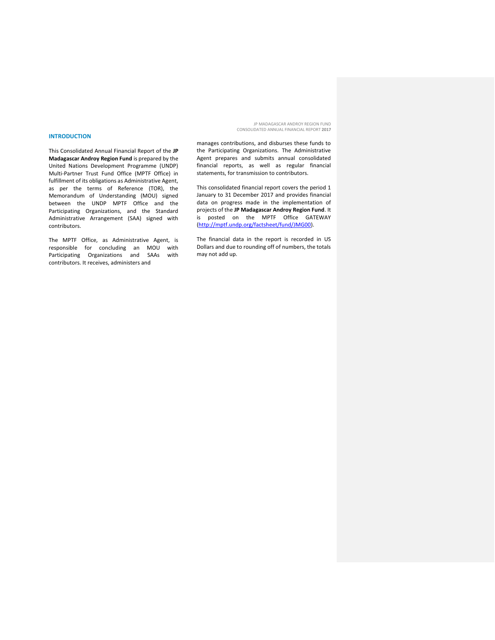#### **INTRODUCTION**

This Consolidated Annual Financial Report of the **JP Madagascar Androy Region Fund** is prepared by the United Nations Development Programme (UNDP) Multi-Partner Trust Fund Office (MPTF Office) in fulfillment of its obligations as Administrative Agent, as per the terms of Reference (TOR), the Memorandum of Understanding (MOU) signed between the UNDP MPTF Office and the Participating Organizations, and the Standard Administrative Arrangement (SAA) signed with contributors.

The MPTF Office, as Administrative Agent, is responsible for concluding an MOU with Participating Organizations and SAAs with contributors. It receives, administers and

JP MADAGASCAR ANDROY REGION FUND CONSOLIDATED ANNUAL FINANCIAL REPORT **2017**

manages contributions, and disburses these funds to the Participating Organizations. The Administrative Agent prepares and submits annual consolidated financial reports, as well as regular financial statements, for transmission to contributors.

This consolidated financial report covers the period 1 January to 31 December 2017 and provides financial data on progress made in the implementation of projects of the **JP Madagascar Androy Region Fund**. It is posted on the MPTF Office GATEWAY [\(http://mptf.undp.org/factsheet/fund/JMG00\)](http://mptf.undp.org/factsheet/fund/JMG00).

The financial data in the report is recorded in US Dollars and due to rounding off of numbers, the totals may not add up.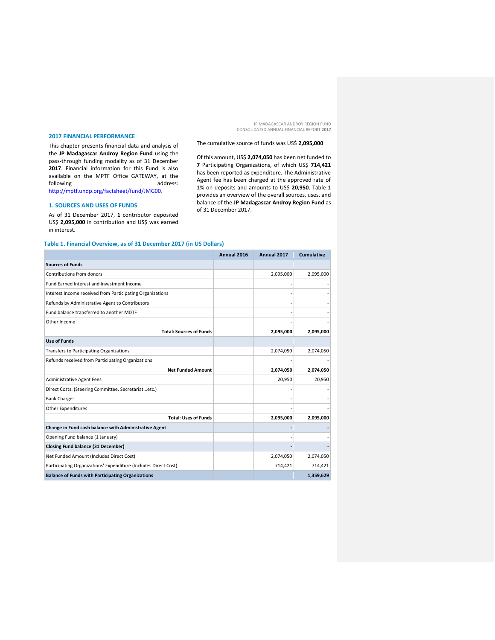#### **2017 FINANCIAL PERFORMANCE**

This chapter presents financial data and analysis of the **JP Madagascar Androy Region Fund** using the pass-through funding modality as of 31 December **2017**. Financial information for this Fund is also available on the MPTF Office GATEWAY, at the following address: following and a state and a state and a state and a state and a state and a state and a state and a state and a [http://mptf.undp.org/factsheet/fund/JMG00.](http://mptf.undp.org/factsheet/fund/JMG00)

### **1. SOURCES AND USES OF FUNDS**

As of 31 December 2017, **1** contributor deposited US\$ **2,095,000** in contribution and US\$ was earned in interest.

# **Table 1. Financial Overview, as of 31 December 2017 (in US Dollars)**

|                                                                 | Annual 2016 | Annual 2017 | <b>Cumulative</b> |
|-----------------------------------------------------------------|-------------|-------------|-------------------|
| <b>Sources of Funds</b>                                         |             |             |                   |
| Contributions from donors                                       |             | 2,095,000   | 2,095,000         |
| Fund Earned Interest and Investment Income                      |             |             |                   |
| Interest Income received from Participating Organizations       |             |             |                   |
| Refunds by Administrative Agent to Contributors                 |             |             |                   |
| Fund balance transferred to another MDTF                        |             |             |                   |
| Other Income                                                    |             |             |                   |
| <b>Total: Sources of Funds</b>                                  |             | 2,095,000   | 2,095,000         |
| <b>Use of Funds</b>                                             |             |             |                   |
| Transfers to Participating Organizations                        |             | 2,074,050   | 2,074,050         |
| Refunds received from Participating Organizations               |             |             |                   |
| <b>Net Funded Amount</b>                                        |             | 2,074,050   | 2,074,050         |
| <b>Administrative Agent Fees</b>                                |             | 20,950      | 20,950            |
| Direct Costs: (Steering Committee, Secretariatetc.)             |             |             |                   |
| <b>Bank Charges</b>                                             |             |             |                   |
| Other Expenditures                                              |             |             |                   |
| <b>Total: Uses of Funds</b>                                     |             | 2,095,000   | 2,095,000         |
| Change in Fund cash balance with Administrative Agent           |             |             |                   |
| Opening Fund balance (1 January)                                |             |             |                   |
| <b>Closing Fund balance (31 December)</b>                       |             |             |                   |
| Net Funded Amount (Includes Direct Cost)                        |             | 2,074,050   | 2,074,050         |
| Participating Organizations' Expenditure (Includes Direct Cost) |             | 714,421     | 714,421           |
| <b>Balance of Funds with Participating Organizations</b>        |             |             | 1,359,629         |

# The cumulative source of funds was US\$ **2,095,000**

Of this amount, US\$ **2,074,050** has been net funded to

**7** Participating Organizations, of which US\$ **714,421** has been reported as expenditure. The Administrative Agent fee has been charged at the approved rate of 1% on deposits and amounts to US\$ **20,950**. Table 1 provides an overview of the overall sources, uses, and balance of the **JP Madagascar Androy Region Fund** as of 31 December 2017.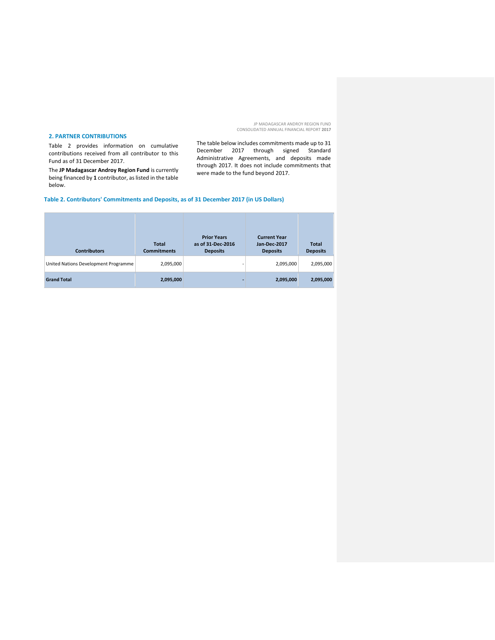#### **2. PARTNER CONTRIBUTIONS**

Table 2 provides information on cumulative contributions received from all contributor to this Fund as of 31 December 2017.

The **JP Madagascar Androy Region Fund** is currently being financed by **1** contributor, as listed in the table below.

The table below includes commitments made up to 31 December 2017 through signed Standard Administrative Agreements, and deposits made through 2017. It does not include commitments that were made to the fund beyond 2017.

# **Table 2. Contributors' Commitments and Deposits, as of 31 December 2017 (in US Dollars)**

| <b>Contributors</b>                  | <b>Total</b><br><b>Commitments</b> | <b>Prior Years</b><br>as of 31-Dec-2016<br><b>Deposits</b> | <b>Current Year</b><br><b>Jan-Dec-2017</b><br><b>Deposits</b> | <b>Total</b><br><b>Deposits</b> |
|--------------------------------------|------------------------------------|------------------------------------------------------------|---------------------------------------------------------------|---------------------------------|
| United Nations Development Programme | 2,095,000                          |                                                            | 2,095,000                                                     | 2,095,000                       |
| <b>Grand Total</b>                   | 2,095,000                          |                                                            | 2,095,000                                                     | 2,095,000                       |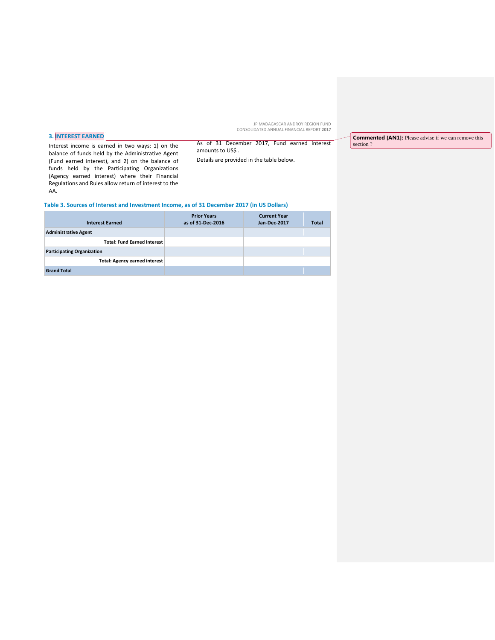# **3. INTEREST EARNED**

Interest income is earned in two ways: 1) on the balance of funds held by the Administrative Agent (Fund earned interest), and 2) on the balance of funds held by the Participating Organizations (Agency earned interest) where their Financial Regulations and Rules allow return of interest to the AA.

As of 31 December 2017, Fund earned interest amounts to US\$ .

Details are provided in the table below.

**Commented [AN1]:** Please advise if we can remove this section ?

# **Table 3. Sources of Interest and Investment Income, as of 31 December 2017 (in US Dollars)**

| <b>Interest Earned</b>               | <b>Prior Years</b><br>as of 31-Dec-2016 | <b>Current Year</b><br>Jan-Dec-2017 | <b>Total</b> |
|--------------------------------------|-----------------------------------------|-------------------------------------|--------------|
| <b>Administrative Agent</b>          |                                         |                                     |              |
| <b>Total: Fund Earned Interest</b>   |                                         |                                     |              |
| <b>Participating Organization</b>    |                                         |                                     |              |
| <b>Total: Agency earned interest</b> |                                         |                                     |              |
| <b>Grand Total</b>                   |                                         |                                     |              |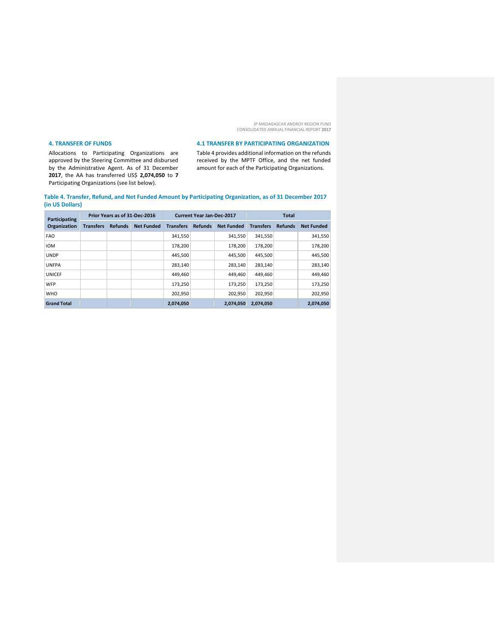# **4. TRANSFER OF FUNDS**

Allocations to Participating Organizations are approved by the Steering Committee and disbursed by the Administrative Agent. As of 31 December **2017**, the AA has transferred US\$ **2,074,050** to **7** Participating Organizations (see list below).

# **4.1 TRANSFER BY PARTICIPATING ORGANIZATION**

Table 4 provides additional information on the refunds received by the MPTF Office, and the net funded amount for each of the Participating Organizations.

**Table 4. Transfer, Refund, and Net Funded Amount by Participating Organization, as of 31 December 2017 (in US Dollars)**

| Prior Years as of 31-Dec-2016<br>Participating |                  | <b>Current Year Jan-Dec-2017</b> |                   |                  | <b>Total</b>   |                   |                  |                |                   |
|------------------------------------------------|------------------|----------------------------------|-------------------|------------------|----------------|-------------------|------------------|----------------|-------------------|
| Organization                                   | <b>Transfers</b> | <b>Refunds</b>                   | <b>Net Funded</b> | <b>Transfers</b> | <b>Refunds</b> | <b>Net Funded</b> | <b>Transfers</b> | <b>Refunds</b> | <b>Net Funded</b> |
| <b>FAO</b>                                     |                  |                                  |                   | 341,550          |                | 341,550           | 341,550          |                | 341,550           |
| <b>IOM</b>                                     |                  |                                  |                   | 178,200          |                | 178.200           | 178,200          |                | 178,200           |
| <b>UNDP</b>                                    |                  |                                  |                   | 445.500          |                | 445,500           | 445,500          |                | 445,500           |
| <b>UNFPA</b>                                   |                  |                                  |                   | 283.140          |                | 283.140           | 283.140          |                | 283,140           |
| <b>UNICEF</b>                                  |                  |                                  |                   | 449,460          |                | 449,460           | 449,460          |                | 449,460           |
| <b>WFP</b>                                     |                  |                                  |                   | 173,250          |                | 173,250           | 173,250          |                | 173,250           |
| <b>WHO</b>                                     |                  |                                  |                   | 202.950          |                | 202,950           | 202.950          |                | 202,950           |
| <b>Grand Total</b>                             |                  |                                  |                   | 2,074,050        |                | 2,074,050         | 2,074,050        |                | 2,074,050         |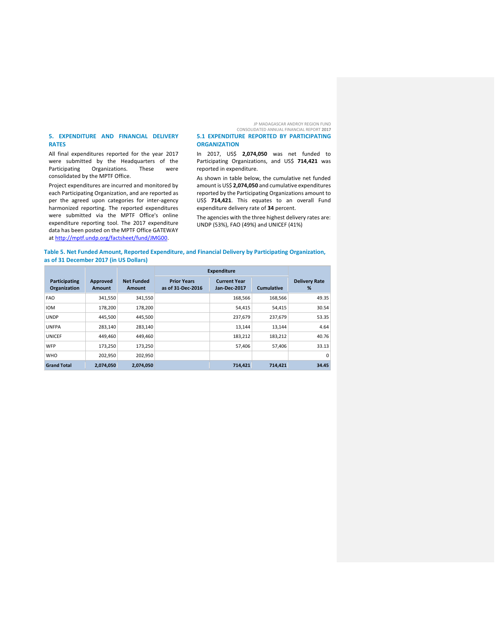#### **5. EXPENDITURE AND FINANCIAL DELIVERY RATES**

All final expenditures reported for the year 2017 were submitted by the Headquarters of the<br>Participating Organizations. These were Participating Organizations. consolidated by the MPTF Office.

Project expenditures are incurred and monitored by each Participating Organization, and are reported as per the agreed upon categories for inter-agency harmonized reporting. The reported expenditures were submitted via the MPTF Office's online expenditure reporting tool. The 2017 expenditure data has been posted on the MPTF Office GATEWAY at [http://mptf.undp.org/factsheet/fund/JMG00.](http://mptf.undp.org/factsheet/fund/JMG00)

In 2017, US\$ **2,074,050** was net funded to Participating Organizations, and US\$ **714,421** was reported in expenditure.

**5.1 EXPENDITURE REPORTED BY PARTICIPATING** 

**ORGANIZATION**

As shown in table below, the cumulative net funded amount is US\$ **2,074,050** and cumulative expenditures reported by the Participating Organizations amount to US\$ **714,421**. This equates to an overall Fund expenditure delivery rate of **34** percent.

The agencies with the three highest delivery rates are: UNDP (53%), FAO (49%) and UNICEF (41%)

#### **Table 5. Net Funded Amount, Reported Expenditure, and Financial Delivery by Participating Organization, as of 31 December 2017 (in US Dollars)**

|                               |                    |                             | <b>Expenditure</b>                      |                                     |            |                           |
|-------------------------------|--------------------|-----------------------------|-----------------------------------------|-------------------------------------|------------|---------------------------|
| Participating<br>Organization | Approved<br>Amount | <b>Net Funded</b><br>Amount | <b>Prior Years</b><br>as of 31-Dec-2016 | <b>Current Year</b><br>Jan-Dec-2017 | Cumulative | <b>Delivery Rate</b><br>% |
| <b>FAO</b>                    | 341,550            | 341,550                     |                                         | 168.566                             | 168.566    | 49.35                     |
| <b>IOM</b>                    | 178.200            | 178,200                     |                                         | 54,415                              | 54,415     | 30.54                     |
| <b>UNDP</b>                   | 445.500            | 445,500                     |                                         | 237,679                             | 237,679    | 53.35                     |
| <b>UNFPA</b>                  | 283,140            | 283,140                     |                                         | 13,144                              | 13,144     | 4.64                      |
| <b>UNICEF</b>                 | 449,460            | 449,460                     |                                         | 183,212                             | 183,212    | 40.76                     |
| <b>WFP</b>                    | 173,250            | 173,250                     |                                         | 57,406                              | 57,406     | 33.13                     |
| <b>WHO</b>                    | 202.950            | 202,950                     |                                         |                                     |            | 0                         |
| <b>Grand Total</b>            | 2,074,050          | 2,074,050                   |                                         | 714.421                             | 714.421    | 34.45                     |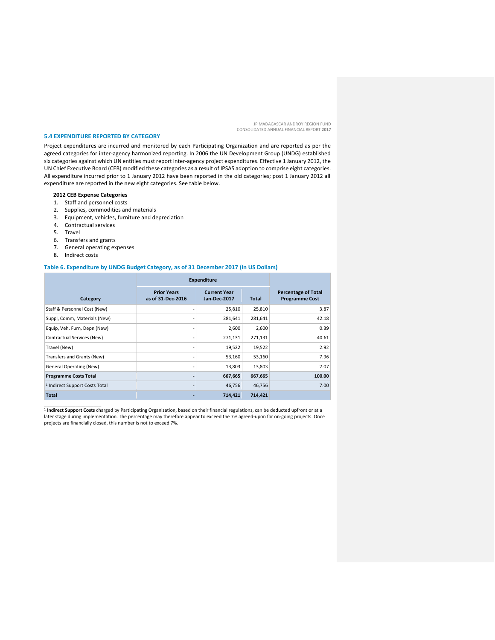#### **5.4 EXPENDITURE REPORTED BY CATEGORY**

Project expenditures are incurred and monitored by each Participating Organization and are reported as per the agreed categories for inter-agency harmonized reporting. In 2006 the UN Development Group (UNDG) established six categories against which UN entities must report inter-agency project expenditures. Effective 1 January 2012, the UN Chief Executive Board (CEB) modified these categories as a result of IPSAS adoption to comprise eight categories. All expenditure incurred prior to 1 January 2012 have been reported in the old categories; post 1 January 2012 all expenditure are reported in the new eight categories. See table below.

# **2012 CEB Expense Categories**

- 1. Staff and personnel costs
- 2. Supplies, commodities and materials
- 3. Equipment, vehicles, furniture and depreciation
- 4. Contractual services
- 5. Travel
- 6. Transfers and grants
- 7. General operating expenses
- 8. Indirect costs

# **Table 6. Expenditure by UNDG Budget Category, as of 31 December 2017 (in US Dollars)**

|                                           | <b>Expenditure</b>                      |                                     |              |                                                     |
|-------------------------------------------|-----------------------------------------|-------------------------------------|--------------|-----------------------------------------------------|
| Category                                  | <b>Prior Years</b><br>as of 31-Dec-2016 | <b>Current Year</b><br>Jan-Dec-2017 | <b>Total</b> | <b>Percentage of Total</b><br><b>Programme Cost</b> |
| Staff & Personnel Cost (New)              |                                         | 25,810                              | 25,810       | 3.87                                                |
| Suppl, Comm, Materials (New)              |                                         | 281,641                             | 281,641      | 42.18                                               |
| Equip, Veh, Furn, Depn (New)              |                                         | 2,600                               | 2,600        | 0.39                                                |
| Contractual Services (New)                |                                         | 271,131                             | 271,131      | 40.61                                               |
| Travel (New)                              |                                         | 19,522                              | 19,522       | 2.92                                                |
| Transfers and Grants (New)                |                                         | 53,160                              | 53,160       | 7.96                                                |
| <b>General Operating (New)</b>            |                                         | 13,803                              | 13,803       | 2.07                                                |
| <b>Programme Costs Total</b>              | ۰                                       | 667,665                             | 667,665      | 100.00                                              |
| <sup>1</sup> Indirect Support Costs Total | $\qquad \qquad \blacksquare$            | 46,756                              | 46,756       | 7.00                                                |
| Total                                     |                                         | 714,421                             | 714,421      |                                                     |

\_\_\_\_\_\_\_\_\_\_\_\_\_\_\_\_\_\_\_\_\_\_ **1 Indirect Support Costs** charged by Participating Organization, based on their financial regulations, can be deducted upfront or at a later stage during implementation. The percentage may therefore appear to exceed the 7% agreed-upon for on-going projects. Once projects are financially closed, this number is not to exceed 7%.